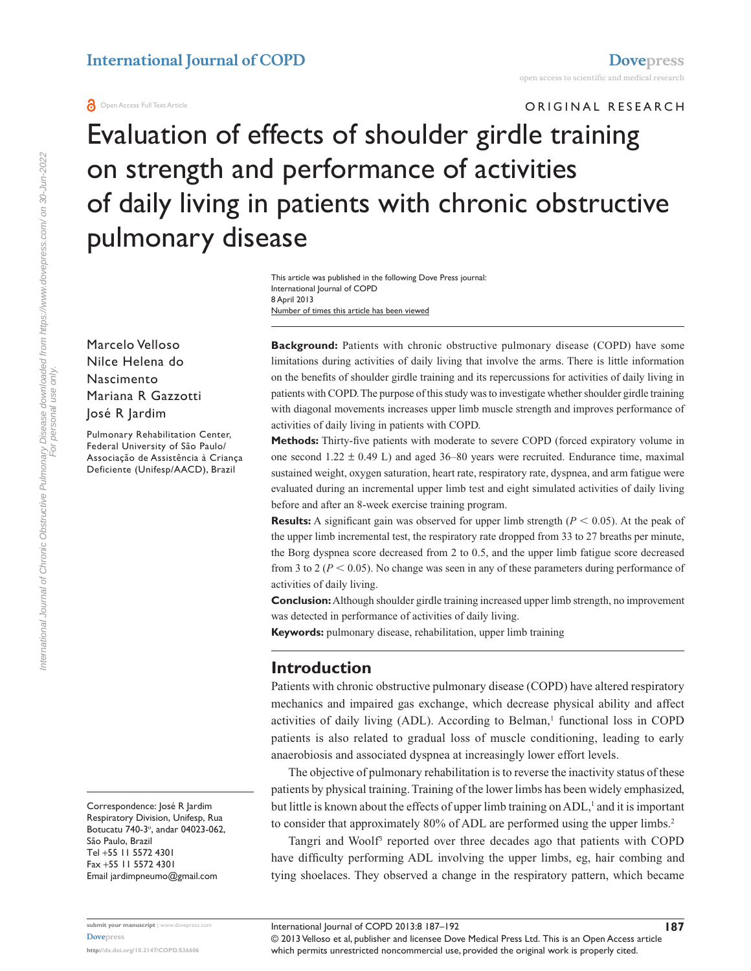ORIGINAL RESEARCH

Evaluation of effects of shoulder girdle training on strength and performance of activities of daily living in patients with chronic obstructive pulmonary disease

> Number of times this article has been viewed This article was published in the following Dove Press journal: International Journal of COPD 8 April 2013

Marcelo Velloso Nilce Helena do Nascimento Mariana R Gazzotti José R Jardim

Pulmonary Rehabilitation Center, Federal University of São Paulo/ Associação de Assistência à Criança Deficiente (Unifesp/AACD), Brazil

Correspondence: José R Jardim Respiratory Division, Unifesp, Rua Botucatu 740-3<sup>°</sup>, andar 04023-062, São Paulo, Brazil Tel +55 11 5572 4301 Fax +55 11 5572 4301 Email [jardimpneumo@gmail.com](mailto:jardimpneumo@gmail.com)

**Background:** Patients with chronic obstructive pulmonary disease (COPD) have some limitations during activities of daily living that involve the arms. There is little information on the benefits of shoulder girdle training and its repercussions for activities of daily living in patients with COPD. The purpose of this study was to investigate whether shoulder girdle training with diagonal movements increases upper limb muscle strength and improves performance of activities of daily living in patients with COPD.

**Methods:** Thirty-five patients with moderate to severe COPD (forced expiratory volume in one second  $1.22 \pm 0.49$  L) and aged 36–80 years were recruited. Endurance time, maximal sustained weight, oxygen saturation, heart rate, respiratory rate, dyspnea, and arm fatigue were evaluated during an incremental upper limb test and eight simulated activities of daily living before and after an 8-week exercise training program.

**Results:** A significant gain was observed for upper limb strength ( $P < 0.05$ ). At the peak of the upper limb incremental test, the respiratory rate dropped from 33 to 27 breaths per minute, the Borg dyspnea score decreased from 2 to 0.5, and the upper limb fatigue score decreased from 3 to  $2 (P < 0.05)$ . No change was seen in any of these parameters during performance of activities of daily living.

**Conclusion:** Although shoulder girdle training increased upper limb strength, no improvement was detected in performance of activities of daily living.

**Keywords:** pulmonary disease, rehabilitation, upper limb training

### **Introduction**

Patients with chronic obstructive pulmonary disease (COPD) have altered respiratory mechanics and impaired gas exchange, which decrease physical ability and affect activities of daily living  $(ADL)$ . According to Belman,<sup>1</sup> functional loss in COPD patients is also related to gradual loss of muscle conditioning, leading to early anaerobiosis and associated dyspnea at increasingly lower effort levels.

The objective of pulmonary rehabilitation is to reverse the inactivity status of these patients by physical training. Training of the lower limbs has been widely emphasized, but little is known about the effects of upper limb training on ADL,<sup>1</sup> and it is important to consider that approximately 80% of ADL are performed using the upper limbs.<sup>2</sup>

Tangri and Woolf<sup>3</sup> reported over three decades ago that patients with COPD have difficulty performing ADL involving the upper limbs, eg, hair combing and tying shoelaces. They observed a change in the respiratory pattern, which became

© 2013 Velloso et al, publisher and licensee Dove Medical Press Ltd. This is an Open Access article which permits unrestricted noncommercial use, provided the original work is properly cited.

**submit your manuscript** | <www.dovepress.com> **[Dovepress](www.dovepress.com)**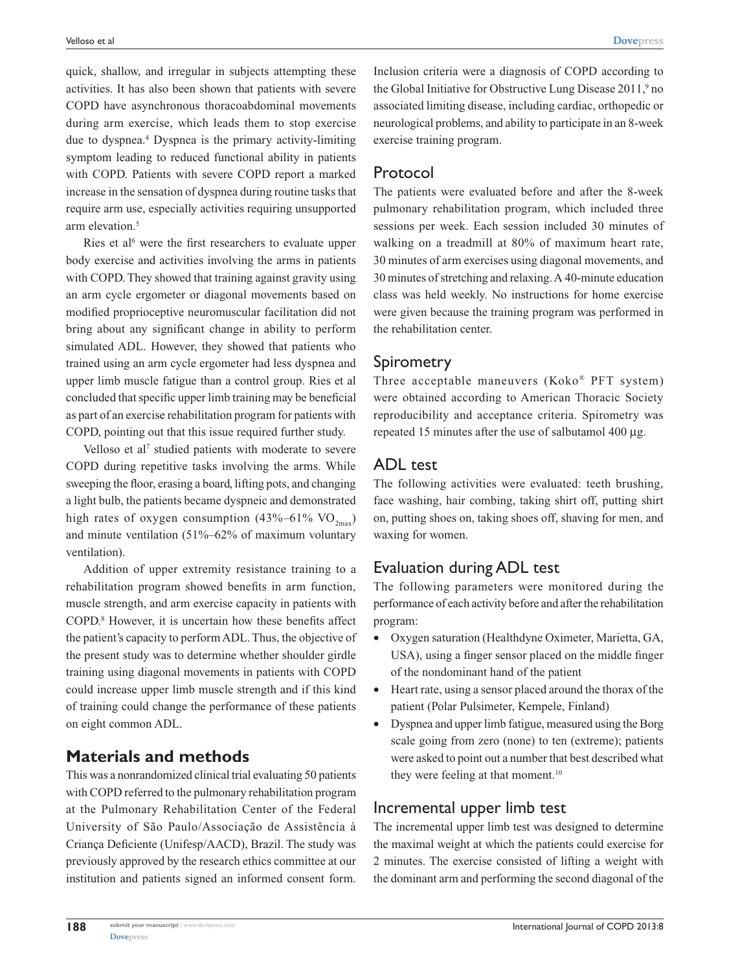quick, shallow, and irregular in subjects attempting these activities. It has also been shown that patients with severe COPD have asynchronous thoracoabdominal movements during arm exercise, which leads them to stop exercise due to dyspnea.4 Dyspnea is the primary activity-limiting symptom leading to reduced functional ability in patients with COPD. Patients with severe COPD report a marked increase in the sensation of dyspnea during routine tasks that require arm use, especially activities requiring unsupported arm elevation.<sup>5</sup>

Ries et al<sup>6</sup> were the first researchers to evaluate upper body exercise and activities involving the arms in patients with COPD. They showed that training against gravity using an arm cycle ergometer or diagonal movements based on modified proprioceptive neuromuscular facilitation did not bring about any significant change in ability to perform simulated ADL. However, they showed that patients who trained using an arm cycle ergometer had less dyspnea and upper limb muscle fatigue than a control group. Ries et al concluded that specific upper limb training may be beneficial as part of an exercise rehabilitation program for patients with COPD, pointing out that this issue required further study.

Velloso et al<sup>7</sup> studied patients with moderate to severe COPD during repetitive tasks involving the arms. While sweeping the floor, erasing a board, lifting pots, and changing a light bulb, the patients became dyspneic and demonstrated high rates of oxygen consumption (43%–61% VO<sub>2max</sub>) and minute ventilation (51%–62% of maximum voluntary ventilation).

Addition of upper extremity resistance training to a rehabilitation program showed benefits in arm function, muscle strength, and arm exercise capacity in patients with COPD.8 However, it is uncertain how these benefits affect the patient's capacity to perform ADL. Thus, the objective of the present study was to determine whether shoulder girdle training using diagonal movements in patients with COPD could increase upper limb muscle strength and if this kind of training could change the performance of these patients on eight common ADL.

# **Materials and methods**

This was a nonrandomized clinical trial evaluating 50 patients with COPD referred to the pulmonary rehabilitation program at the Pulmonary Rehabilitation Center of the Federal University of São Paulo/Associação de Assistência à Criança Deficiente (Unifesp/AACD), Brazil. The study was previously approved by the research ethics committee at our institution and patients signed an informed consent form.

Inclusion criteria were a diagnosis of COPD according to the Global Initiative for Obstructive Lung Disease 2011,<sup>9</sup> no associated limiting disease, including cardiac, orthopedic or neurological problems, and ability to participate in an 8-week exercise training program.

## Protocol

The patients were evaluated before and after the 8-week pulmonary rehabilitation program, which included three sessions per week. Each session included 30 minutes of walking on a treadmill at 80% of maximum heart rate, 30 minutes of arm exercises using diagonal movements, and 30 minutes of stretching and relaxing. A 40-minute education class was held weekly. No instructions for home exercise were given because the training program was performed in the rehabilitation center.

### Spirometry

Three acceptable maneuvers (Koko® PFT system) were obtained according to American Thoracic Society reproducibility and acceptance criteria. Spirometry was repeated 15 minutes after the use of salbutamol 400 µg.

### ADL test

The following activities were evaluated: teeth brushing, face washing, hair combing, taking shirt off, putting shirt on, putting shoes on, taking shoes off, shaving for men, and waxing for women.

## Evaluation during ADL test

The following parameters were monitored during the performance of each activity before and after the rehabilitation program:

- • Oxygen saturation (Healthdyne Oximeter, Marietta, GA, USA), using a finger sensor placed on the middle finger of the nondominant hand of the patient
- Heart rate, using a sensor placed around the thorax of the patient (Polar Pulsimeter, Kempele, Finland)
- Dyspnea and upper limb fatigue, measured using the Borg scale going from zero (none) to ten (extreme); patients were asked to point out a number that best described what they were feeling at that moment.<sup>10</sup>

# Incremental upper limb test

The incremental upper limb test was designed to determine the maximal weight at which the patients could exercise for 2 minutes. The exercise consisted of lifting a weight with the dominant arm and performing the second diagonal of the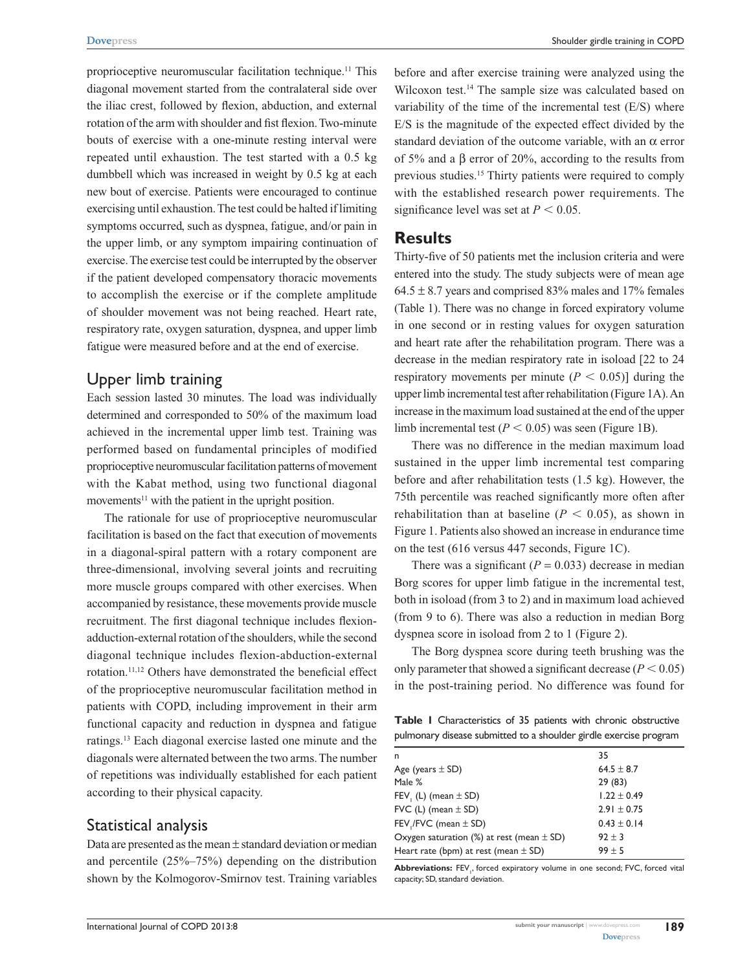proprioceptive neuromuscular facilitation technique.11 This diagonal movement started from the contralateral side over the iliac crest, followed by flexion, abduction, and external rotation of the arm with shoulder and fist flexion. Two-minute bouts of exercise with a one-minute resting interval were repeated until exhaustion. The test started with a 0.5 kg dumbbell which was increased in weight by 0.5 kg at each new bout of exercise. Patients were encouraged to continue exercising until exhaustion. The test could be halted if limiting symptoms occurred, such as dyspnea, fatigue, and/or pain in the upper limb, or any symptom impairing continuation of exercise. The exercise test could be interrupted by the observer if the patient developed compensatory thoracic movements to accomplish the exercise or if the complete amplitude of shoulder movement was not being reached. Heart rate, respiratory rate, oxygen saturation, dyspnea, and upper limb fatigue were measured before and at the end of exercise.

### Upper limb training

Each session lasted 30 minutes. The load was individually determined and corresponded to 50% of the maximum load achieved in the incremental upper limb test. Training was performed based on fundamental principles of modified proprioceptive neuromuscular facilitation patterns of movement with the Kabat method, using two functional diagonal movements<sup>11</sup> with the patient in the upright position.

The rationale for use of proprioceptive neuromuscular facilitation is based on the fact that execution of movements in a diagonal-spiral pattern with a rotary component are three-dimensional, involving several joints and recruiting more muscle groups compared with other exercises. When accompanied by resistance, these movements provide muscle recruitment. The first diagonal technique includes flexionadduction-external rotation of the shoulders, while the second diagonal technique includes flexion-abduction-external rotation.11,12 Others have demonstrated the beneficial effect of the proprioceptive neuromuscular facilitation method in patients with COPD, including improvement in their arm functional capacity and reduction in dyspnea and fatigue ratings.13 Each diagonal exercise lasted one minute and the diagonals were alternated between the two arms. The number of repetitions was individually established for each patient according to their physical capacity.

### Statistical analysis

Data are presented as the mean  $\pm$  standard deviation or median and percentile (25%–75%) depending on the distribution shown by the Kolmogorov-Smirnov test. Training variables before and after exercise training were analyzed using the Wilcoxon test.<sup>14</sup> The sample size was calculated based on variability of the time of the incremental test  $(E/S)$  where E/S is the magnitude of the expected effect divided by the standard deviation of the outcome variable, with an  $\alpha$  error of 5% and a β error of 20%, according to the results from previous studies.15 Thirty patients were required to comply with the established research power requirements. The significance level was set at  $P < 0.05$ .

#### **Results**

Thirty-five of 50 patients met the inclusion criteria and were entered into the study. The study subjects were of mean age  $64.5 \pm 8.7$  years and comprised 83% males and 17% females (Table 1). There was no change in forced expiratory volume in one second or in resting values for oxygen saturation and heart rate after the rehabilitation program. There was a decrease in the median respiratory rate in isoload [22 to 24 respiratory movements per minute  $(P < 0.05)$ ] during the upper limb incremental test after rehabilitation (Figure 1A). An increase in the maximum load sustained at the end of the upper limb incremental test  $(P < 0.05)$  was seen (Figure 1B).

There was no difference in the median maximum load sustained in the upper limb incremental test comparing before and after rehabilitation tests (1.5 kg). However, the 75th percentile was reached significantly more often after rehabilitation than at baseline  $(P < 0.05)$ , as shown in Figure 1. Patients also showed an increase in endurance time on the test (616 versus 447 seconds, Figure 1C).

There was a significant  $(P = 0.033)$  decrease in median Borg scores for upper limb fatigue in the incremental test, both in isoload (from 3 to 2) and in maximum load achieved (from 9 to 6). There was also a reduction in median Borg dyspnea score in isoload from 2 to 1 (Figure 2).

The Borg dyspnea score during teeth brushing was the only parameter that showed a significant decrease  $(P < 0.05)$ in the post-training period. No difference was found for

**Table 1** Characteristics of 35 patients with chronic obstructive pulmonary disease submitted to a shoulder girdle exercise program

| 35              |
|-----------------|
| $64.5 \pm 8.7$  |
| 29(83)          |
| $1.22 \pm 0.49$ |
| $2.91 \pm 0.75$ |
| $0.43 \pm 0.14$ |
| $92 \pm 3$      |
| $99 + 5$        |
|                 |

Abbreviations: FEV<sub>1</sub>, forced expiratory volume in one second; FVC, forced vital capacity; SD, standard deviation.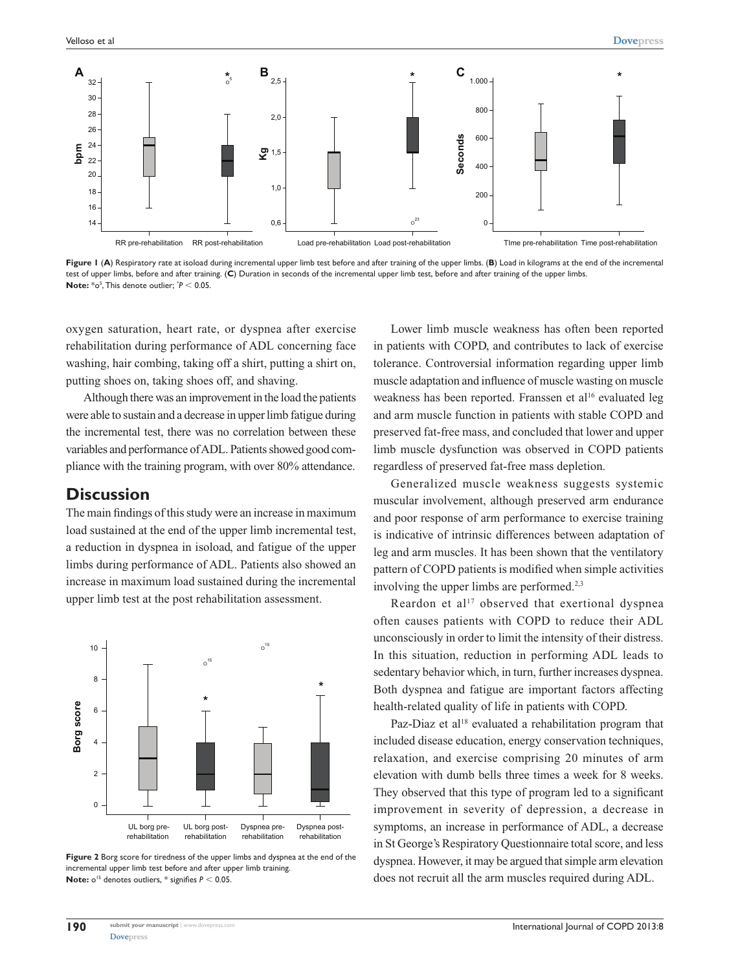

Figure I (A) Respiratory rate at isoload during incremental upper limb test before and after training of the upper limbs. (B) Load in kilograms at the end of the incremental test of upper limbs, before and after training. (**C**) Duration in seconds of the incremental upper limb test, before and after training of the upper limbs. **Note:**  $*$ <sup> $\circ$ </sup><sup>5</sup>, This denote outlier;  $*$ *P* < 0.05.

oxygen saturation, heart rate, or dyspnea after exercise rehabilitation during performance of ADL concerning face washing, hair combing, taking off a shirt, putting a shirt on, putting shoes on, taking shoes off, and shaving.

Although there was an improvement in the load the patients were able to sustain and a decrease in upper limb fatigue during the incremental test, there was no correlation between these variables and performance of ADL. Patients showed good compliance with the training program, with over 80% attendance.

### **Discussion**

The main findings of this study were an increase in maximum load sustained at the end of the upper limb incremental test, a reduction in dyspnea in isoload, and fatigue of the upper limbs during performance of ADL. Patients also showed an increase in maximum load sustained during the incremental upper limb test at the post rehabilitation assessment.



**Figure 2** Borg score for tiredness of the upper limbs and dyspnea at the end of the incremental upper limb test before and after upper limb training. **Note:**  $o^{15}$  denotes outliers,  $*$  signifies  $P < 0.05$ .

Lower limb muscle weakness has often been reported in patients with COPD, and contributes to lack of exercise tolerance. Controversial information regarding upper limb muscle adaptation and influence of muscle wasting on muscle weakness has been reported. Franssen et al<sup>16</sup> evaluated leg and arm muscle function in patients with stable COPD and preserved fat-free mass, and concluded that lower and upper limb muscle dysfunction was observed in COPD patients regardless of preserved fat-free mass depletion.

Generalized muscle weakness suggests systemic muscular involvement, although preserved arm endurance and poor response of arm performance to exercise training is indicative of intrinsic differences between adaptation of leg and arm muscles. It has been shown that the ventilatory pattern of COPD patients is modified when simple activities involving the upper limbs are performed.<sup>2,3</sup>

Reardon et  $a^{17}$  observed that exertional dyspnea often causes patients with COPD to reduce their ADL unconsciously in order to limit the intensity of their distress. In this situation, reduction in performing ADL leads to sedentary behavior which, in turn, further increases dyspnea. Both dyspnea and fatigue are important factors affecting health-related quality of life in patients with COPD.

Paz-Diaz et al<sup>18</sup> evaluated a rehabilitation program that included disease education, energy conservation techniques, relaxation, and exercise comprising 20 minutes of arm elevation with dumb bells three times a week for 8 weeks. They observed that this type of program led to a significant improvement in severity of depression, a decrease in symptoms, an increase in performance of ADL, a decrease in St George's Respiratory Questionnaire total score, and less dyspnea. However, it may be argued that simple arm elevation does not recruit all the arm muscles required during ADL.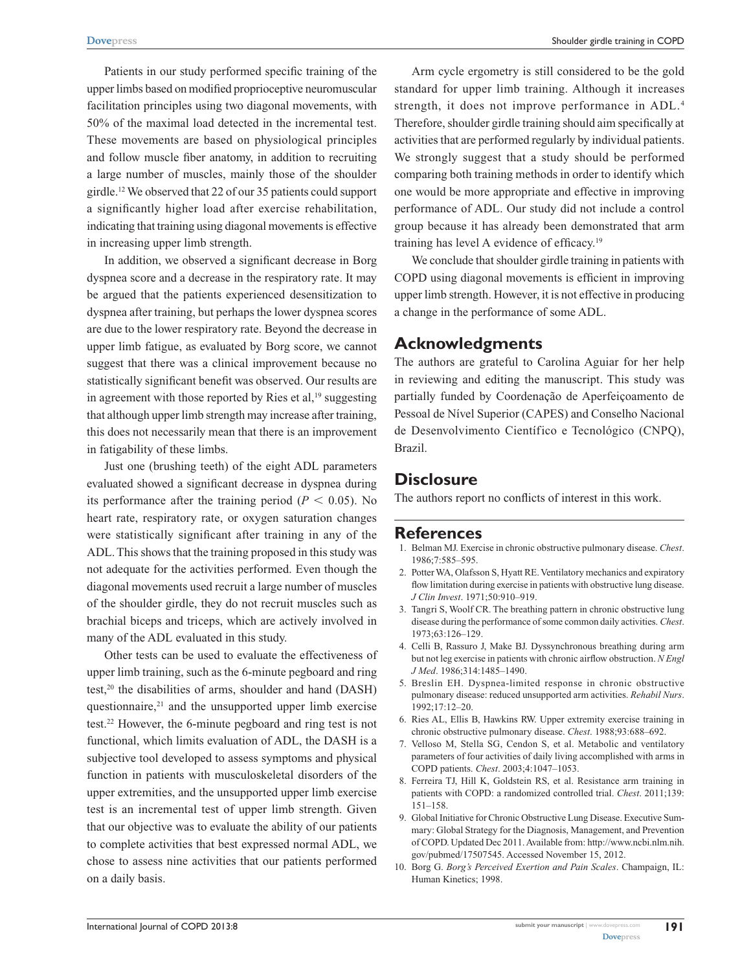Patients in our study performed specific training of the upper limbs based on modified proprioceptive neuromuscular facilitation principles using two diagonal movements, with 50% of the maximal load detected in the incremental test. These movements are based on physiological principles and follow muscle fiber anatomy, in addition to recruiting a large number of muscles, mainly those of the shoulder girdle.12 We observed that 22 of our 35 patients could support a significantly higher load after exercise rehabilitation, indicating that training using diagonal movements is effective in increasing upper limb strength.

In addition, we observed a significant decrease in Borg dyspnea score and a decrease in the respiratory rate. It may be argued that the patients experienced desensitization to dyspnea after training, but perhaps the lower dyspnea scores are due to the lower respiratory rate. Beyond the decrease in upper limb fatigue, as evaluated by Borg score, we cannot suggest that there was a clinical improvement because no statistically significant benefit was observed. Our results are in agreement with those reported by Ries et al, $19$  suggesting that although upper limb strength may increase after training, this does not necessarily mean that there is an improvement in fatigability of these limbs.

Just one (brushing teeth) of the eight ADL parameters evaluated showed a significant decrease in dyspnea during its performance after the training period ( $P < 0.05$ ). No heart rate, respiratory rate, or oxygen saturation changes were statistically significant after training in any of the ADL. This shows that the training proposed in this study was not adequate for the activities performed. Even though the diagonal movements used recruit a large number of muscles of the shoulder girdle, they do not recruit muscles such as brachial biceps and triceps, which are actively involved in many of the ADL evaluated in this study.

Other tests can be used to evaluate the effectiveness of upper limb training, such as the 6-minute pegboard and ring test, $20$  the disabilities of arms, shoulder and hand (DASH) questionnaire, $21$  and the unsupported upper limb exercise test.22 However, the 6-minute pegboard and ring test is not functional, which limits evaluation of ADL, the DASH is a subjective tool developed to assess symptoms and physical function in patients with musculoskeletal disorders of the upper extremities, and the unsupported upper limb exercise test is an incremental test of upper limb strength. Given that our objective was to evaluate the ability of our patients to complete activities that best expressed normal ADL, we chose to assess nine activities that our patients performed on a daily basis.

Arm cycle ergometry is still considered to be the gold standard for upper limb training. Although it increases strength, it does not improve performance in ADL.4 Therefore, shoulder girdle training should aim specifically at activities that are performed regularly by individual patients. We strongly suggest that a study should be performed comparing both training methods in order to identify which one would be more appropriate and effective in improving performance of ADL. Our study did not include a control group because it has already been demonstrated that arm training has level A evidence of efficacy.19

We conclude that shoulder girdle training in patients with COPD using diagonal movements is efficient in improving upper limb strength. However, it is not effective in producing a change in the performance of some ADL.

### **Acknowledgments**

The authors are grateful to Carolina Aguiar for her help in reviewing and editing the manuscript. This study was partially funded by Coordenação de Aperfeiçoamento de Pessoal de Nível Superior (CAPES) and Conselho Nacional de Desenvolvimento Científico e Tecnológico (CNPQ), Brazil.

## **Disclosure**

The authors report no conflicts of interest in this work.

### **References**

- 1. Belman MJ. Exercise in chronic obstructive pulmonary disease. *Chest*. 1986;7:585–595.
- 2. Potter WA, Olafsson S, Hyatt RE. Ventilatory mechanics and expiratory flow limitation during exercise in patients with obstructive lung disease. *J Clin Invest*. 1971;50:910–919.
- 3. Tangri S, Woolf CR. The breathing pattern in chronic obstructive lung disease during the performance of some common daily activities. *Chest*. 1973;63:126–129.
- 4. Celli B, Rassuro J, Make BJ. Dyssynchronous breathing during arm but not leg exercise in patients with chronic airflow obstruction. *N Engl J Med*. 1986;314:1485–1490.
- 5. Breslin EH. Dyspnea-limited response in chronic obstructive pulmonary disease: reduced unsupported arm activities. *Rehabil Nurs*. 1992;17:12–20.
- 6. Ries AL, Ellis B, Hawkins RW. Upper extremity exercise training in chronic obstructive pulmonary disease. *Chest*. 1988;93:688–692.
- 7. Velloso M, Stella SG, Cendon S, et al. Metabolic and ventilatory parameters of four activities of daily living accomplished with arms in COPD patients. *Chest*. 2003;4:1047–1053.
- 8. Ferreira TJ, Hill K, Goldstein RS, et al. Resistance arm training in patients with COPD: a randomized controlled trial. *Chest*. 2011;139: 151–158.
- 9. Global Initiative for Chronic Obstructive Lung Disease. Executive Summary: Global Strategy for the Diagnosis, Management, and Prevention of COPD. Updated Dec 2011. Available from: http://[www.ncbi.nlm.nih.](http://www.ncbi.nlm.nih.gov/pubmed/17507545) [gov/pubmed/17507545](http://www.ncbi.nlm.nih.gov/pubmed/17507545). Accessed November 15, 2012.
- 10. Borg G. *Borg's Perceived Exertion and Pain Scales*. Champaign, IL: Human Kinetics; 1998.